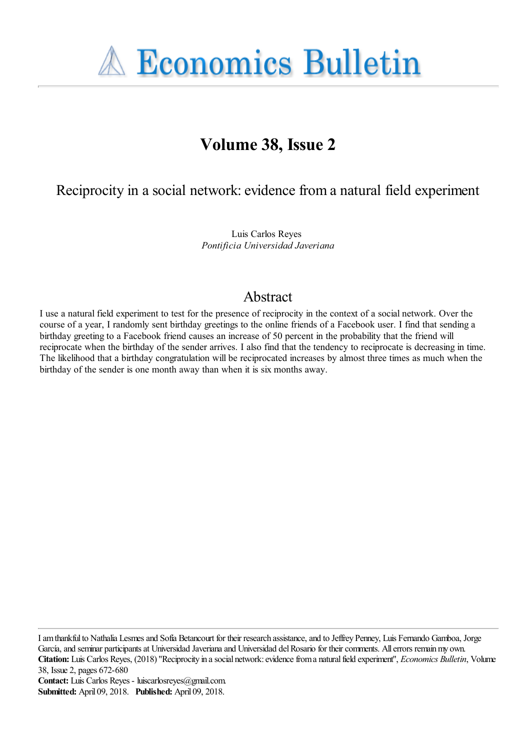**A Economics Bulletin** 

# **Volume 38, Issue 2**

Reciprocity in a social network: evidence from a natural field experiment

Luis Carlos Reyes *Pontificia Universidad Javeriana*

# Abstract

I use a natural field experiment to test for the presence of reciprocity in the context of a social network. Over the course of a year, I randomly sent birthday greetings to the online friends of a Facebook user. I find that sending a birthday greeting to a Facebook friend causes an increase of 50 percent in the probability that the friend will reciprocate when the birthday of the sender arrives. I also find that the tendency to reciprocate is decreasing in time. The likelihood that a birthday congratulation will be reciprocated increases by almost three times as much when the birthday of the sender is one month away than when it is six months away.

I am thankful to Nathalia Lesmes and Sofía Betancourt for their research assistance, and to Jeffrey Penney, Luis Fernando Gamboa, Jorge García, and seminar participants at Universidad Javeriana and Universidad del Rosario for their comments. All errors remain my own. **Citation:** Luis Carlos Reyes, (2018) ''Reciprocity in a social network: evidence from a natural field experiment'', *Economics Bulletin*, Volume 38, Issue 2, pages 672-680

**Contact:** Luis Carlos Reyes - luiscarlosreyes@gmail.com. **Submitted:** April 09, 2018. **Published:** April 09, 2018.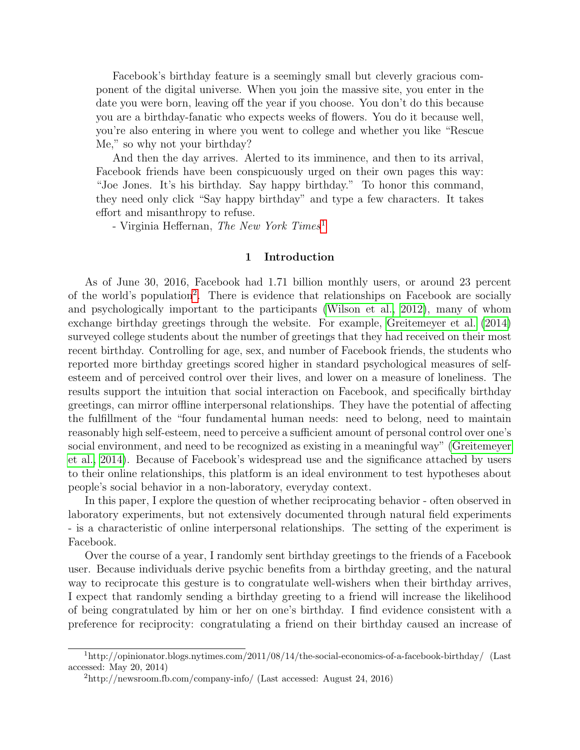Facebook's birthday feature is a seemingly small but cleverly gracious component of the digital universe. When you join the massive site, you enter in the date you were born, leaving off the year if you choose. You don't do this because you are a birthday-fanatic who expects weeks of flowers. You do it because well, you're also entering in where you went to college and whether you like "Rescue Me," so why not your birthday?

And then the day arrives. Alerted to its imminence, and then to its arrival, Facebook friends have been conspicuously urged on their own pages this way: "Joe Jones. It's his birthday. Say happy birthday." To honor this command, they need only click "Say happy birthday" and type a few characters. It takes effort and misanthropy to refuse.

- Virginia Heffernan, The New York Times<sup>[1](#page-1-0)</sup>

#### 1 Introduction

As of June 30, 2016, Facebook had 1.71 billion monthly users, or around 23 percent of the world's population<sup>[2](#page-1-1)</sup>. There is evidence that relationships on Facebook are socially and psychologically important to the participants [\(Wilson et al., 2012\)](#page-6-0), many of whom exchange birthday greetings through the website. For example, [Greitemeyer et al. \(2014\)](#page-5-0) surveyed college students about the number of greetings that they had received on their most recent birthday. Controlling for age, sex, and number of Facebook friends, the students who reported more birthday greetings scored higher in standard psychological measures of selfesteem and of perceived control over their lives, and lower on a measure of loneliness. The results support the intuition that social interaction on Facebook, and specifically birthday greetings, can mirror offline interpersonal relationships. They have the potential of affecting the fulfillment of the "four fundamental human needs: need to belong, need to maintain reasonably high self-esteem, need to perceive a sufficient amount of personal control over one's social environment, and need to be recognized as existing in a meaningful way" [\(Greitemeyer](#page-5-0) [et al., 2014\)](#page-5-0). Because of Facebook's widespread use and the significance attached by users to their online relationships, this platform is an ideal environment to test hypotheses about people's social behavior in a non-laboratory, everyday context.

In this paper, I explore the question of whether reciprocating behavior - often observed in laboratory experiments, but not extensively documented through natural field experiments - is a characteristic of online interpersonal relationships. The setting of the experiment is Facebook.

Over the course of a year, I randomly sent birthday greetings to the friends of a Facebook user. Because individuals derive psychic benefits from a birthday greeting, and the natural way to reciprocate this gesture is to congratulate well-wishers when their birthday arrives, I expect that randomly sending a birthday greeting to a friend will increase the likelihood of being congratulated by him or her on one's birthday. I find evidence consistent with a preference for reciprocity: congratulating a friend on their birthday caused an increase of

<span id="page-1-0"></span> $1<sup>1</sup>$ http://opinionator.blogs.nytimes.com/2011/08/14/the-social-economics-of-a-facebook-birthday/ (Last accessed: May 20, 2014)

<span id="page-1-1"></span> $^{2}$ http://newsroom.fb.com/company-info/ (Last accessed: August 24, 2016)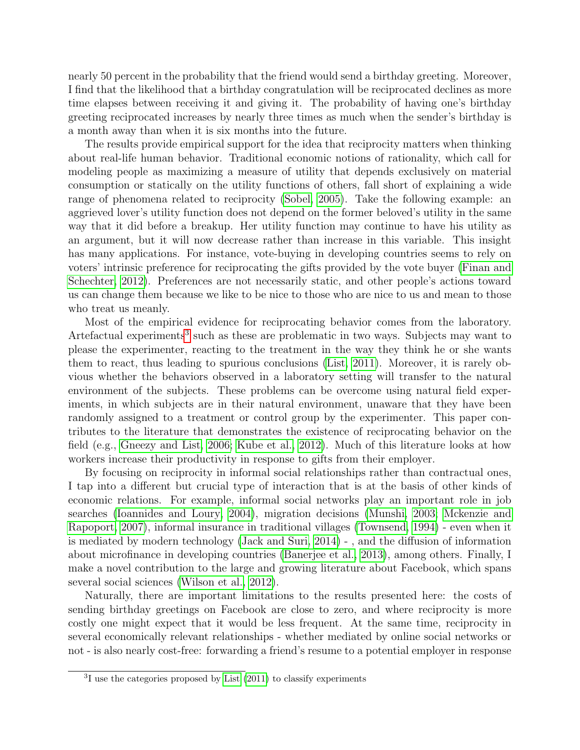nearly 50 percent in the probability that the friend would send a birthday greeting. Moreover, I find that the likelihood that a birthday congratulation will be reciprocated declines as more time elapses between receiving it and giving it. The probability of having one's birthday greeting reciprocated increases by nearly three times as much when the sender's birthday is a month away than when it is six months into the future.

The results provide empirical support for the idea that reciprocity matters when thinking about real-life human behavior. Traditional economic notions of rationality, which call for modeling people as maximizing a measure of utility that depends exclusively on material consumption or statically on the utility functions of others, fall short of explaining a wide range of phenomena related to reciprocity [\(Sobel, 2005\)](#page-6-1). Take the following example: an aggrieved lover's utility function does not depend on the former beloved's utility in the same way that it did before a breakup. Her utility function may continue to have his utility as an argument, but it will now decrease rather than increase in this variable. This insight has many applications. For instance, vote-buying in developing countries seems to rely on voters' intrinsic preference for reciprocating the gifts provided by the vote buyer [\(Finan and](#page-5-1) [Schechter, 2012\)](#page-5-1). Preferences are not necessarily static, and other people's actions toward us can change them because we like to be nice to those who are nice to us and mean to those who treat us meanly.

Most of the empirical evidence for reciprocating behavior comes from the laboratory. Artefactual experiments<sup>[3](#page-2-0)</sup> such as these are problematic in two ways. Subjects may want to please the experimenter, reacting to the treatment in the way they think he or she wants them to react, thus leading to spurious conclusions [\(List, 2011\)](#page-6-2). Moreover, it is rarely obvious whether the behaviors observed in a laboratory setting will transfer to the natural environment of the subjects. These problems can be overcome using natural field experiments, in which subjects are in their natural environment, unaware that they have been randomly assigned to a treatment or control group by the experimenter. This paper contributes to the literature that demonstrates the existence of reciprocating behavior on the field (e.g., [Gneezy and List, 2006;](#page-5-2) [Kube et al., 2012\)](#page-5-3). Much of this literature looks at how workers increase their productivity in response to gifts from their employer.

By focusing on reciprocity in informal social relationships rather than contractual ones, I tap into a different but crucial type of interaction that is at the basis of other kinds of economic relations. For example, informal social networks play an important role in job searches [\(Ioannides and Loury, 2004\)](#page-5-4), migration decisions [\(Munshi, 2003;](#page-6-3) [Mckenzie and](#page-6-4) [Rapoport, 2007\)](#page-6-4), informal insurance in traditional villages [\(Townsend, 1994\)](#page-6-5) - even when it is mediated by modern technology [\(Jack and Suri, 2014\)](#page-5-5) - , and the diffusion of information about microfinance in developing countries [\(Banerjee et al., 2013\)](#page-5-6), among others. Finally, I make a novel contribution to the large and growing literature about Facebook, which spans several social sciences [\(Wilson et al., 2012\)](#page-6-0).

Naturally, there are important limitations to the results presented here: the costs of sending birthday greetings on Facebook are close to zero, and where reciprocity is more costly one might expect that it would be less frequent. At the same time, reciprocity in several economically relevant relationships - whether mediated by online social networks or not - is also nearly cost-free: forwarding a friend's resume to a potential employer in response

<span id="page-2-0"></span><sup>&</sup>lt;sup>3</sup>I use the categories proposed by [List \(2011\)](#page-6-2) to classify experiments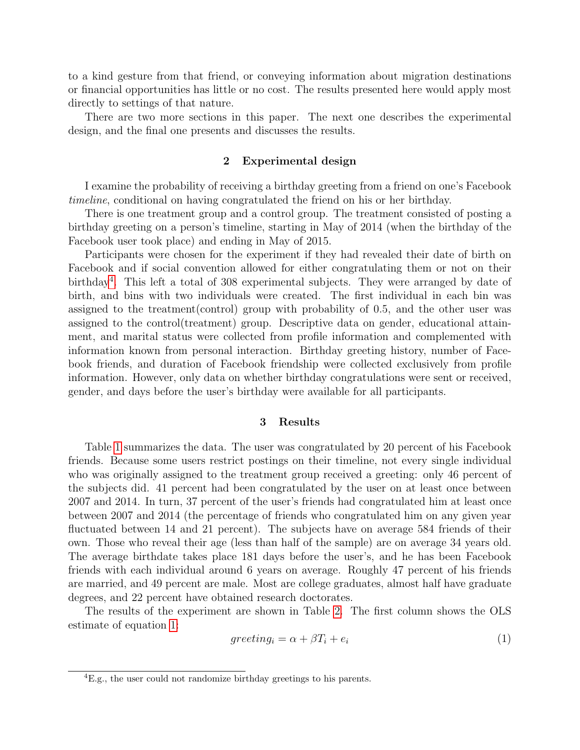to a kind gesture from that friend, or conveying information about migration destinations or financial opportunities has little or no cost. The results presented here would apply most directly to settings of that nature.

There are two more sections in this paper. The next one describes the experimental design, and the final one presents and discusses the results.

## 2 Experimental design

I examine the probability of receiving a birthday greeting from a friend on one's Facebook timeline, conditional on having congratulated the friend on his or her birthday.

There is one treatment group and a control group. The treatment consisted of posting a birthday greeting on a person's timeline, starting in May of 2014 (when the birthday of the Facebook user took place) and ending in May of 2015.

Participants were chosen for the experiment if they had revealed their date of birth on Facebook and if social convention allowed for either congratulating them or not on their birthday<sup>[4](#page-3-0)</sup>. This left a total of 308 experimental subjects. They were arranged by date of birth, and bins with two individuals were created. The first individual in each bin was assigned to the treatment(control) group with probability of 0.5, and the other user was assigned to the control(treatment) group. Descriptive data on gender, educational attainment, and marital status were collected from profile information and complemented with information known from personal interaction. Birthday greeting history, number of Facebook friends, and duration of Facebook friendship were collected exclusively from profile information. However, only data on whether birthday congratulations were sent or received, gender, and days before the user's birthday were available for all participants.

## 3 Results

Table [1](#page-7-0) summarizes the data. The user was congratulated by 20 percent of his Facebook friends. Because some users restrict postings on their timeline, not every single individual who was originally assigned to the treatment group received a greeting: only 46 percent of the subjects did. 41 percent had been congratulated by the user on at least once between 2007 and 2014. In turn, 37 percent of the user's friends had congratulated him at least once between 2007 and 2014 (the percentage of friends who congratulated him on any given year fluctuated between 14 and 21 percent). The subjects have on average 584 friends of their own. Those who reveal their age (less than half of the sample) are on average 34 years old. The average birthdate takes place 181 days before the user's, and he has been Facebook friends with each individual around 6 years on average. Roughly 47 percent of his friends are married, and 49 percent are male. Most are college graduates, almost half have graduate degrees, and 22 percent have obtained research doctorates.

The results of the experiment are shown in Table [2.](#page-8-0) The first column shows the OLS estimate of equation [1:](#page-3-1)

<span id="page-3-1"></span>
$$
greeting_i = \alpha + \beta T_i + e_i \tag{1}
$$

<span id="page-3-0"></span> ${}^{4}E.g.,$  the user could not randomize birthday greetings to his parents.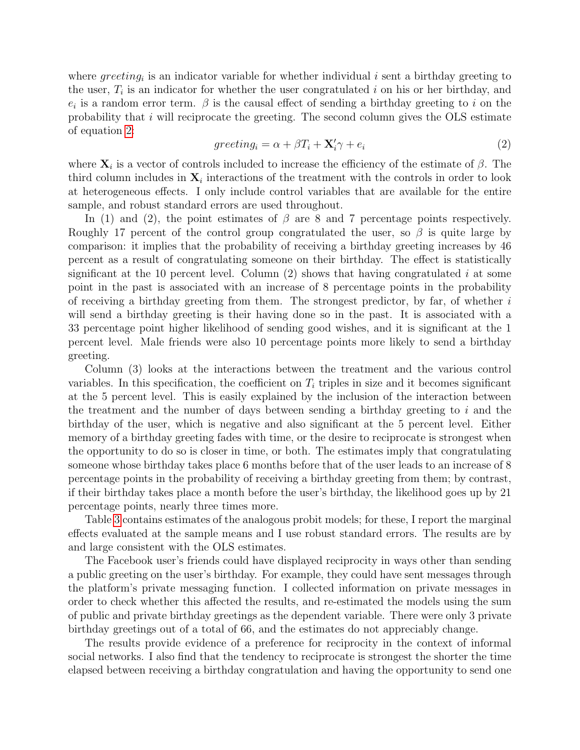where  $greeting_i$  is an indicator variable for whether individual i sent a birthday greeting to the user,  $T_i$  is an indicator for whether the user congratulated i on his or her birthday, and  $e_i$  is a random error term.  $\beta$  is the causal effect of sending a birthday greeting to i on the probability that  $i$  will reciprocate the greeting. The second column gives the OLS estimate of equation [2:](#page-4-0)

<span id="page-4-0"></span>
$$
greeting_i = \alpha + \beta T_i + \mathbf{X}'_i \gamma + e_i \tag{2}
$$

where  $\mathbf{X}_i$  is a vector of controls included to increase the efficiency of the estimate of  $\beta$ . The third column includes in  $X_i$  interactions of the treatment with the controls in order to look at heterogeneous effects. I only include control variables that are available for the entire sample, and robust standard errors are used throughout.

In (1) and (2), the point estimates of  $\beta$  are 8 and 7 percentage points respectively. Roughly 17 percent of the control group congratulated the user, so  $\beta$  is quite large by comparison: it implies that the probability of receiving a birthday greeting increases by 46 percent as a result of congratulating someone on their birthday. The effect is statistically significant at the 10 percent level. Column  $(2)$  shows that having congratulated i at some point in the past is associated with an increase of 8 percentage points in the probability of receiving a birthday greeting from them. The strongest predictor, by far, of whether  $i$ will send a birthday greeting is their having done so in the past. It is associated with a 33 percentage point higher likelihood of sending good wishes, and it is significant at the 1 percent level. Male friends were also 10 percentage points more likely to send a birthday greeting.

Column (3) looks at the interactions between the treatment and the various control variables. In this specification, the coefficient on  $T_i$  triples in size and it becomes significant at the 5 percent level. This is easily explained by the inclusion of the interaction between the treatment and the number of days between sending a birthday greeting to  $i$  and the birthday of the user, which is negative and also significant at the 5 percent level. Either memory of a birthday greeting fades with time, or the desire to reciprocate is strongest when the opportunity to do so is closer in time, or both. The estimates imply that congratulating someone whose birthday takes place 6 months before that of the user leads to an increase of 8 percentage points in the probability of receiving a birthday greeting from them; by contrast, if their birthday takes place a month before the user's birthday, the likelihood goes up by 21 percentage points, nearly three times more.

Table [3](#page-9-0) contains estimates of the analogous probit models; for these, I report the marginal effects evaluated at the sample means and I use robust standard errors. The results are by and large consistent with the OLS estimates.

The Facebook user's friends could have displayed reciprocity in ways other than sending a public greeting on the user's birthday. For example, they could have sent messages through the platform's private messaging function. I collected information on private messages in order to check whether this affected the results, and re-estimated the models using the sum of public and private birthday greetings as the dependent variable. There were only 3 private birthday greetings out of a total of 66, and the estimates do not appreciably change.

The results provide evidence of a preference for reciprocity in the context of informal social networks. I also find that the tendency to reciprocate is strongest the shorter the time elapsed between receiving a birthday congratulation and having the opportunity to send one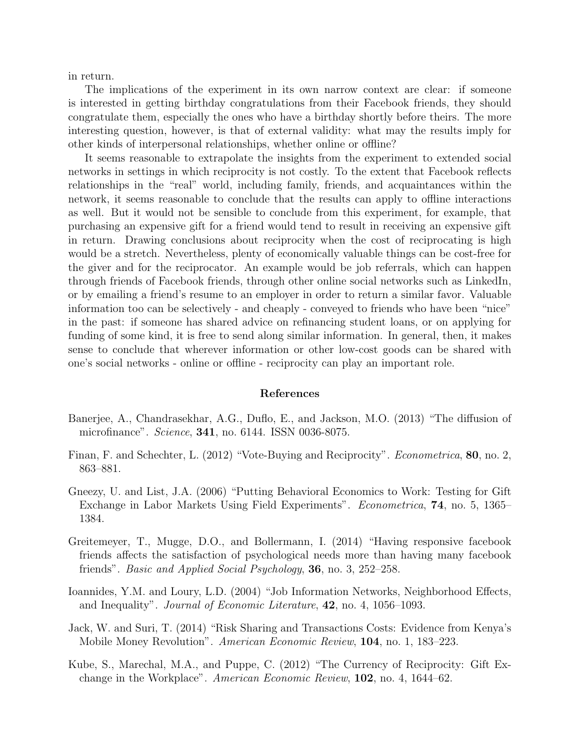in return.

The implications of the experiment in its own narrow context are clear: if someone is interested in getting birthday congratulations from their Facebook friends, they should congratulate them, especially the ones who have a birthday shortly before theirs. The more interesting question, however, is that of external validity: what may the results imply for other kinds of interpersonal relationships, whether online or offline?

It seems reasonable to extrapolate the insights from the experiment to extended social networks in settings in which reciprocity is not costly. To the extent that Facebook reflects relationships in the "real" world, including family, friends, and acquaintances within the network, it seems reasonable to conclude that the results can apply to offline interactions as well. But it would not be sensible to conclude from this experiment, for example, that purchasing an expensive gift for a friend would tend to result in receiving an expensive gift in return. Drawing conclusions about reciprocity when the cost of reciprocating is high would be a stretch. Nevertheless, plenty of economically valuable things can be cost-free for the giver and for the reciprocator. An example would be job referrals, which can happen through friends of Facebook friends, through other online social networks such as LinkedIn, or by emailing a friend's resume to an employer in order to return a similar favor. Valuable information too can be selectively - and cheaply - conveyed to friends who have been "nice" in the past: if someone has shared advice on refinancing student loans, or on applying for funding of some kind, it is free to send along similar information. In general, then, it makes sense to conclude that wherever information or other low-cost goods can be shared with one's social networks - online or offline - reciprocity can play an important role.

#### References

- <span id="page-5-6"></span>Banerjee, A., Chandrasekhar, A.G., Duflo, E., and Jackson, M.O. (2013) "The diffusion of microfinance". *Science*, **341**, no. 6144. ISSN 0036-8075.
- <span id="page-5-1"></span>Finan, F. and Schechter, L. (2012) "Vote-Buying and Reciprocity". Econometrica, 80, no. 2, 863–881.
- <span id="page-5-2"></span>Gneezy, U. and List, J.A. (2006) "Putting Behavioral Economics to Work: Testing for Gift Exchange in Labor Markets Using Field Experiments". Econometrica, 74, no. 5, 1365– 1384.
- <span id="page-5-0"></span>Greitemeyer, T., Mugge, D.O., and Bollermann, I. (2014) "Having responsive facebook friends affects the satisfaction of psychological needs more than having many facebook friends". *Basic and Applied Social Psychology*, **36**, no. 3, 252–258.
- <span id="page-5-4"></span>Ioannides, Y.M. and Loury, L.D. (2004) "Job Information Networks, Neighborhood Effects, and Inequality". Journal of Economic Literature, 42, no. 4, 1056–1093.
- <span id="page-5-5"></span>Jack, W. and Suri, T. (2014) "Risk Sharing and Transactions Costs: Evidence from Kenya's Mobile Money Revolution". American Economic Review, 104, no. 1, 183–223.
- <span id="page-5-3"></span>Kube, S., Marechal, M.A., and Puppe, C. (2012) "The Currency of Reciprocity: Gift Exchange in the Workplace". American Economic Review, 102, no. 4, 1644–62.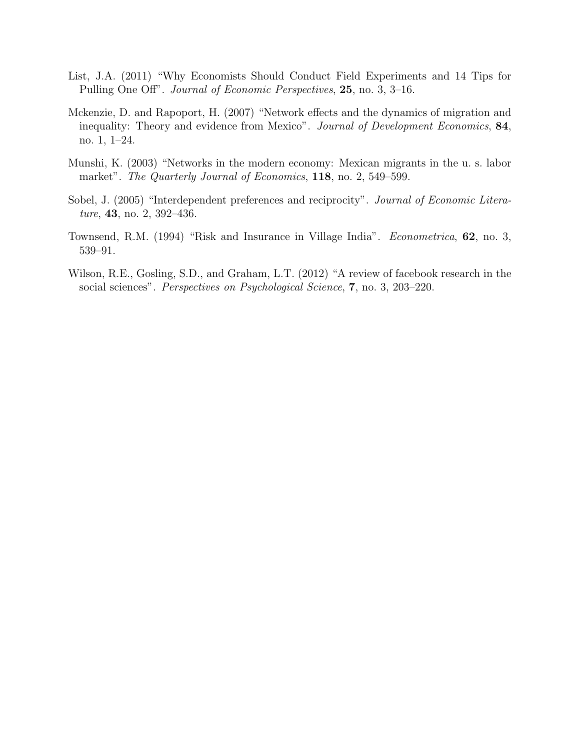- <span id="page-6-2"></span>List, J.A. (2011) "Why Economists Should Conduct Field Experiments and 14 Tips for Pulling One Off". Journal of Economic Perspectives, 25, no. 3, 3–16.
- <span id="page-6-4"></span>Mckenzie, D. and Rapoport, H. (2007) "Network effects and the dynamics of migration and inequality: Theory and evidence from Mexico". Journal of Development Economics, 84, no. 1, 1–24.
- <span id="page-6-3"></span>Munshi, K. (2003) "Networks in the modern economy: Mexican migrants in the u. s. labor market". The Quarterly Journal of Economics, 118, no. 2, 549–599.
- <span id="page-6-1"></span>Sobel, J. (2005) "Interdependent preferences and reciprocity". *Journal of Economic Litera*ture, **43**, no. 2, 392-436.
- <span id="page-6-5"></span>Townsend, R.M. (1994) "Risk and Insurance in Village India". Econometrica, 62, no. 3, 539–91.
- <span id="page-6-0"></span>Wilson, R.E., Gosling, S.D., and Graham, L.T. (2012) "A review of facebook research in the social sciences". Perspectives on Psychological Science, 7, no. 3, 203–220.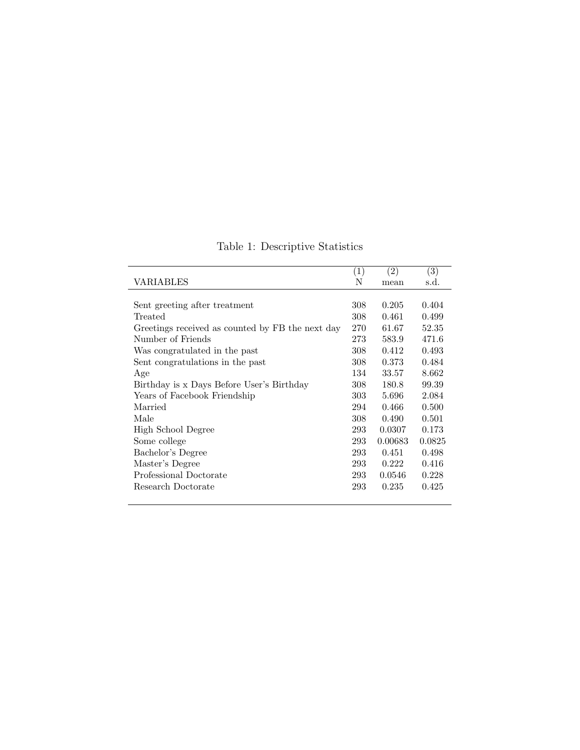|                                                  | (1) | $\left( 2\right)$ | (3)    |
|--------------------------------------------------|-----|-------------------|--------|
| VARIABLES                                        | Ν   | mean              | s.d.   |
|                                                  |     |                   |        |
| Sent greeting after treatment                    | 308 | 0.205             | 0.404  |
| Treated                                          | 308 | 0.461             | 0.499  |
| Greetings received as counted by FB the next day | 270 | 61.67             | 52.35  |
| Number of Friends                                | 273 | 583.9             | 471.6  |
| Was congratulated in the past                    | 308 | 0.412             | 0.493  |
| Sent congratulations in the past                 | 308 | 0.373             | 0.484  |
| Age                                              | 134 | 33.57             | 8.662  |
| Birthday is x Days Before User's Birthday        | 308 | 180.8             | 99.39  |
| Years of Facebook Friendship                     | 303 | 5.696             | 2.084  |
| Married                                          | 294 | 0.466             | 0.500  |
| Male                                             | 308 | 0.490             | 0.501  |
| High School Degree                               | 293 | 0.0307            | 0.173  |
| Some college                                     | 293 | 0.00683           | 0.0825 |
| Bachelor's Degree                                | 293 | 0.451             | 0.498  |
| Master's Degree                                  | 293 | 0.222             | 0.416  |
| Professional Doctorate                           | 293 | 0.0546            | 0.228  |
| Research Doctorate                               | 293 | 0.235             | 0.425  |
|                                                  |     |                   |        |

<span id="page-7-0"></span>Table 1: Descriptive Statistics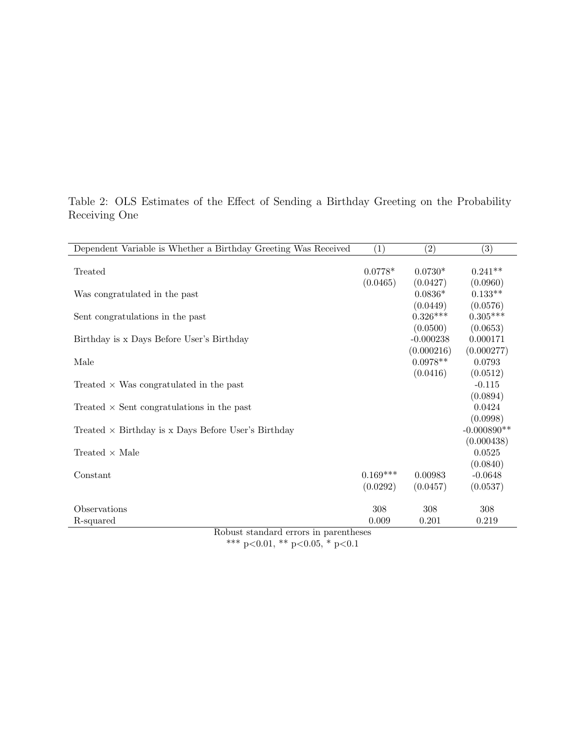| Dependent Variable is Whether a Birthday Greeting Was Received | (1)        | $\left( 2\right)$ | (3)           |  |  |  |  |  |
|----------------------------------------------------------------|------------|-------------------|---------------|--|--|--|--|--|
|                                                                |            |                   |               |  |  |  |  |  |
| Treated                                                        | $0.0778*$  | $0.0730*$         | $0.241**$     |  |  |  |  |  |
|                                                                | (0.0465)   | (0.0427)          | (0.0960)      |  |  |  |  |  |
| Was congratulated in the past                                  |            | $0.0836*$         | $0.133**$     |  |  |  |  |  |
|                                                                |            | (0.0449)          | (0.0576)      |  |  |  |  |  |
| Sent congratulations in the past                               |            | $0.326***$        | $0.305***$    |  |  |  |  |  |
|                                                                |            | (0.0500)          | (0.0653)      |  |  |  |  |  |
| Birthday is x Days Before User's Birthday                      |            | $-0.000238$       | 0.000171      |  |  |  |  |  |
|                                                                |            | (0.000216)        | (0.000277)    |  |  |  |  |  |
| Male                                                           |            | $0.0978**$        | 0.0793        |  |  |  |  |  |
|                                                                |            | (0.0416)          | (0.0512)      |  |  |  |  |  |
| Treated $\times$ Was congratulated in the past                 |            |                   | $-0.115$      |  |  |  |  |  |
|                                                                |            |                   | (0.0894)      |  |  |  |  |  |
| Treated $\times$ Sent congratulations in the past              |            |                   | 0.0424        |  |  |  |  |  |
|                                                                |            |                   | (0.0998)      |  |  |  |  |  |
| Treated $\times$ Birthday is x Days Before User's Birthday     |            |                   | $-0.000890**$ |  |  |  |  |  |
|                                                                |            |                   | (0.000438)    |  |  |  |  |  |
| Treated $\times$ Male                                          |            |                   | 0.0525        |  |  |  |  |  |
|                                                                |            |                   | (0.0840)      |  |  |  |  |  |
| Constant                                                       | $0.169***$ | 0.00983           | $-0.0648$     |  |  |  |  |  |
|                                                                | (0.0292)   | (0.0457)          | (0.0537)      |  |  |  |  |  |
|                                                                |            |                   |               |  |  |  |  |  |
| Observations                                                   | 308        | 308               | 308           |  |  |  |  |  |
| R-squared                                                      | 0.009      | 0.201             | 0.219         |  |  |  |  |  |
| Robust standard errors in parentheses                          |            |                   |               |  |  |  |  |  |

<span id="page-8-0"></span>Table 2: OLS Estimates of the Effect of Sending a Birthday Greeting on the Probability Receiving One

> Robust standard errors in parentheses \*\*\* p<0.01, \*\* p<0.05, \* p<0.1